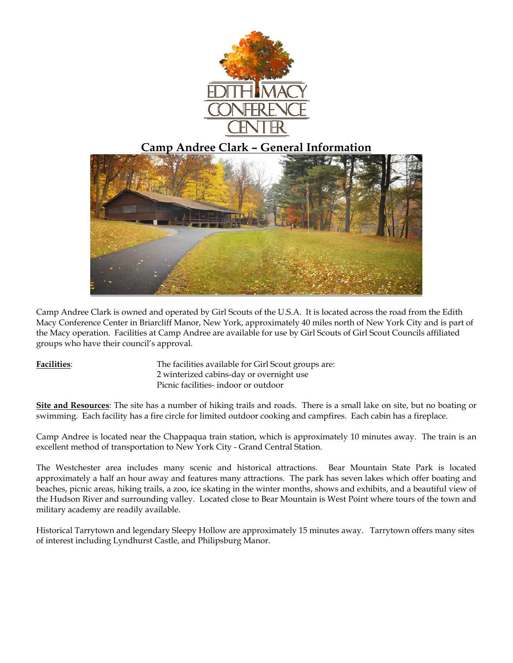

# **Camp Andree Clark – General Information**



Camp Andree Clark is owned and operated by Girl Scouts of the U.S.A. It is located across the road from the Edith Macy Conference Center in Briarcliff Manor, New York, approximately 40 miles north of New York City and is part of the Macy operation. Facilities at Camp Andree are available for use by Girl Scouts of Girl Scout Councils affiliated groups who have their council's approval.

**Facilities**: The facilities available for Girl Scout groups are: 2 winterized cabins-day or overnight use Picnic facilities- indoor or outdoor

**Site and Resources**: The site has a number of hiking trails and roads. There is a small lake on site, but no boating or swimming. Each facility has a fire circle for limited outdoor cooking and campfires. Each cabin has a fireplace.

Camp Andree is located near the Chappaqua train station, which is approximately 10 minutes away. The train is an excellent method of transportation to New York City - Grand Central Station.

The Westchester area includes many scenic and historical attractions. Bear Mountain State Park is located approximately a half an hour away and features many attractions. The park has seven lakes which offer boating and beaches, picnic areas, hiking trails, a zoo, ice skating in the winter months, shows and exhibits, and a beautiful view of the Hudson River and surrounding valley. Located close to Bear Mountain is West Point where tours of the town and military academy are readily available.

Historical Tarrytown and legendary Sleepy Hollow are approximately 15 minutes away. Tarrytown offers many sites of interest including Lyndhurst Castle, and Philipsburg Manor.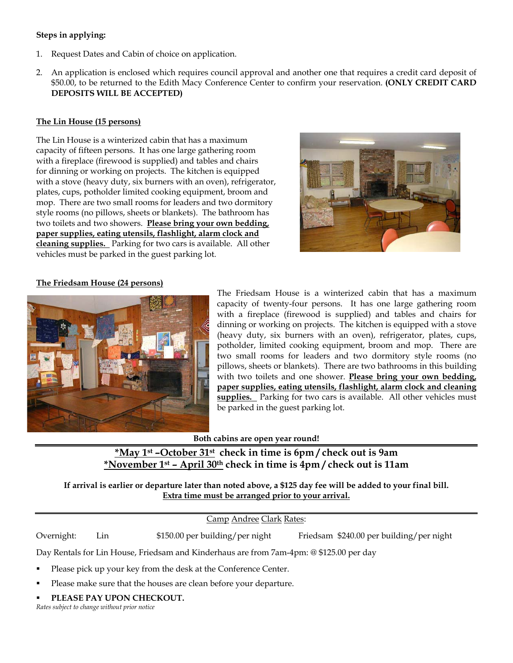# **Steps in applying:**

- 1. Request Dates and Cabin of choice on application.
- 2. An application is enclosed which requires council approval and another one that requires a credit card deposit of \$50.00, to be returned to the Edith Macy Conference Center to confirm your reservation. **(ONLY CREDIT CARD DEPOSITS WILL BE ACCEPTED)**

#### **The Lin House (15 persons)**

The Lin House is a winterized cabin that has a maximum capacity of fifteen persons. It has one large gathering room with a fireplace (firewood is supplied) and tables and chairs for dinning or working on projects. The kitchen is equipped with a stove (heavy duty, six burners with an oven), refrigerator, plates, cups, potholder limited cooking equipment, broom and mop. There are two small rooms for leaders and two dormitory style rooms (no pillows, sheets or blankets). The bathroom has two toilets and two showers. **Please bring your own bedding, paper supplies, eating utensils, flashlight, alarm clock and cleaning supplies.** Parking for two cars is available. All other vehicles must be parked in the guest parking lot.



#### **The Friedsam House (24 persons)**



The Friedsam House is a winterized cabin that has a maximum capacity of twenty-four persons. It has one large gathering room with a fireplace (firewood is supplied) and tables and chairs for dinning or working on projects. The kitchen is equipped with a stove (heavy duty, six burners with an oven), refrigerator, plates, cups, potholder, limited cooking equipment, broom and mop. There are two small rooms for leaders and two dormitory style rooms (no pillows, sheets or blankets). There are two bathrooms in this building with two toilets and one shower. **Please bring your own bedding, paper supplies, eating utensils, flashlight, alarm clock and cleaning supplies.** Parking for two cars is available. All other vehicles must be parked in the guest parking lot.

**Both cabins are open year round!** 

**\*May 1st –October 31st check in time is 6pm / check out is 9am \*November 1st – April 30th check in time is 4pm / check out is 11am** 

**If arrival is earlier or departure later than noted above, a \$125 day fee will be added to your final bill. Extra time must be arranged prior to your arrival.**

# Camp Andree Clark Rates:

Overnight: Lin \$150.00 per building/per night Friedsam \$240.00 per building/per night

Day Rentals for Lin House, Friedsam and Kinderhaus are from 7am-4pm: @ \$125.00 per day

- Please pick up your key from the desk at the Conference Center.
- Please make sure that the houses are clean before your departure.
- **PLEASE PAY UPON CHECKOUT.**

*Rates subject to change without prior notice*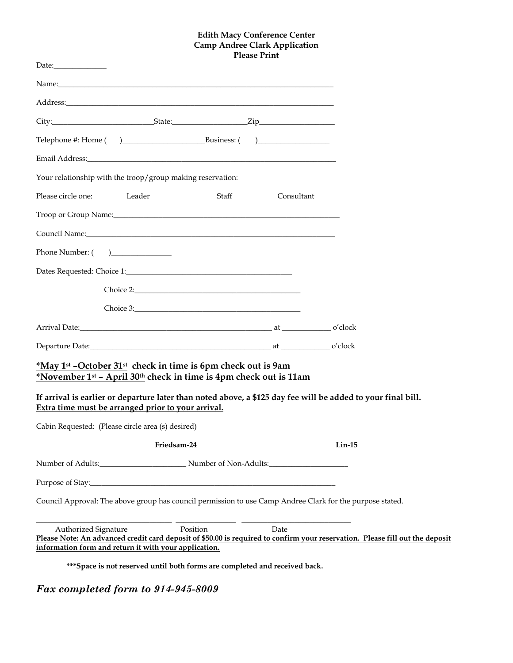#### **Edith Macy Conference Center Camp Andree Clark Application Please Print**

| Name: Name:<br>Email Address: The Contract of the Contract of the Contract of the Contract of the Contract of the Contract of the Contract of the Contract of the Contract of the Contract of the Contract of the Contract of the Contract of<br>Your relationship with the troop/group making reservation:<br>Please circle one: Leader<br><b>Staff</b><br>Troop or Group Name: 1986 and 2008 and 2008 and 2008 and 2008 and 2008 and 2008 and 2008 and 2008 and 2008 and 2008 and 2008 and 2008 and 2008 and 2008 and 2008 and 2008 and 2008 and 2008 and 2008 and 2008 and 2008 and 200<br>Council Name: Name: Name and South Assembly Name and South Assembly Name and South Assembly Name and South Assembly<br>Phone Number: ()<br>Arrival Date: o'clock |            |
|----------------------------------------------------------------------------------------------------------------------------------------------------------------------------------------------------------------------------------------------------------------------------------------------------------------------------------------------------------------------------------------------------------------------------------------------------------------------------------------------------------------------------------------------------------------------------------------------------------------------------------------------------------------------------------------------------------------------------------------------------------------|------------|
|                                                                                                                                                                                                                                                                                                                                                                                                                                                                                                                                                                                                                                                                                                                                                                |            |
|                                                                                                                                                                                                                                                                                                                                                                                                                                                                                                                                                                                                                                                                                                                                                                |            |
|                                                                                                                                                                                                                                                                                                                                                                                                                                                                                                                                                                                                                                                                                                                                                                |            |
|                                                                                                                                                                                                                                                                                                                                                                                                                                                                                                                                                                                                                                                                                                                                                                |            |
|                                                                                                                                                                                                                                                                                                                                                                                                                                                                                                                                                                                                                                                                                                                                                                |            |
|                                                                                                                                                                                                                                                                                                                                                                                                                                                                                                                                                                                                                                                                                                                                                                |            |
|                                                                                                                                                                                                                                                                                                                                                                                                                                                                                                                                                                                                                                                                                                                                                                | Consultant |
|                                                                                                                                                                                                                                                                                                                                                                                                                                                                                                                                                                                                                                                                                                                                                                |            |
|                                                                                                                                                                                                                                                                                                                                                                                                                                                                                                                                                                                                                                                                                                                                                                |            |
|                                                                                                                                                                                                                                                                                                                                                                                                                                                                                                                                                                                                                                                                                                                                                                |            |
|                                                                                                                                                                                                                                                                                                                                                                                                                                                                                                                                                                                                                                                                                                                                                                |            |
|                                                                                                                                                                                                                                                                                                                                                                                                                                                                                                                                                                                                                                                                                                                                                                |            |
|                                                                                                                                                                                                                                                                                                                                                                                                                                                                                                                                                                                                                                                                                                                                                                |            |
|                                                                                                                                                                                                                                                                                                                                                                                                                                                                                                                                                                                                                                                                                                                                                                |            |
|                                                                                                                                                                                                                                                                                                                                                                                                                                                                                                                                                                                                                                                                                                                                                                |            |
| *May 1 <sup>st</sup> -October 31 <sup>st</sup> check in time is 6pm check out is 9am<br>*November 1st - April 30th check in time is 4pm check out is 11am<br>If arrival is earlier or departure later than noted above, a \$125 day fee will be added to your final bill.<br>Extra time must be arranged prior to your arrival.                                                                                                                                                                                                                                                                                                                                                                                                                                |            |
| Cabin Requested: (Please circle area (s) desired)                                                                                                                                                                                                                                                                                                                                                                                                                                                                                                                                                                                                                                                                                                              |            |
| Friedsam-24                                                                                                                                                                                                                                                                                                                                                                                                                                                                                                                                                                                                                                                                                                                                                    | $Lin-15$   |
|                                                                                                                                                                                                                                                                                                                                                                                                                                                                                                                                                                                                                                                                                                                                                                |            |
|                                                                                                                                                                                                                                                                                                                                                                                                                                                                                                                                                                                                                                                                                                                                                                |            |
| Council Approval: The above group has council permission to use Camp Andree Clark for the purpose stated.                                                                                                                                                                                                                                                                                                                                                                                                                                                                                                                                                                                                                                                      |            |
| Position<br>Date<br>Authorized Signature<br>Please Note: An advanced credit card deposit of \$50.00 is required to confirm your reservation. Please fill out the deposit<br>information form and return it with your application.                                                                                                                                                                                                                                                                                                                                                                                                                                                                                                                              |            |

**\*\*\*Space is not reserved until both forms are completed and received back.**

# *Fax completed form to 914-945-8009*